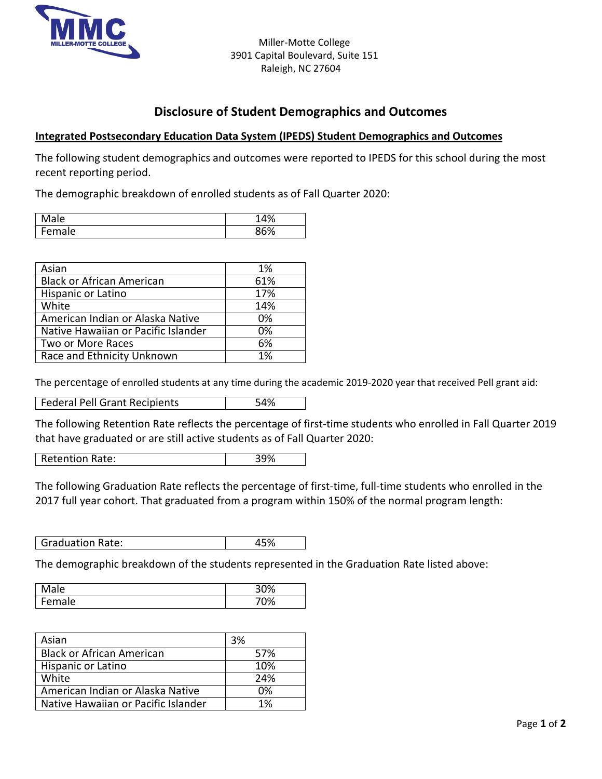

## **Disclosure of Student Demographics and Outcomes**

## **Integrated Postsecondary Education Data System (IPEDS) Student Demographics and Outcomes**

The following student demographics and outcomes were reported to IPEDS for this school during the most recent reporting period.

The demographic breakdown of enrolled students as of Fall Quarter 2020:

| Male         | 10/<br>+70 |
|--------------|------------|
| $\mathbf{r}$ | 260/       |
| ale          | 7υ         |

| Asian                               | 1%  |
|-------------------------------------|-----|
| <b>Black or African American</b>    | 61% |
| <b>Hispanic or Latino</b>           | 17% |
| White                               | 14% |
| American Indian or Alaska Native    | 0%  |
| Native Hawaiian or Pacific Islander | 0%  |
| Two or More Races                   | 6%  |
| Race and Ethnicity Unknown          | 1%  |

The percentage of enrolled students at any time during the academic 2019-2020 year that received Pell grant aid:

| Federal Pell Grant Recipients<br>54% |
|--------------------------------------|
|--------------------------------------|

The following Retention Rate reflects the percentage of first-time students who enrolled in Fall Quarter 2019 that have graduated or are still active students as of Fall Quarter 2020:

Retention Rate: 39%

The following Graduation Rate reflects the percentage of first-time, full-time students who enrolled in the 2017 full year cohort. That graduated from a program within 150% of the normal program length:

Graduation Rate:  $\vert$  45%

The demographic breakdown of the students represented in the Graduation Rate listed above:

| ale | 200<br>7٥ |
|-----|-----------|
| ale | /00/      |
| ∽   | 70        |

| Asian                               | <b>3%</b> |
|-------------------------------------|-----------|
| <b>Black or African American</b>    | 57%       |
| Hispanic or Latino                  | 10%       |
| White                               | 24%       |
| American Indian or Alaska Native    | 0%        |
| Native Hawaiian or Pacific Islander | 1%        |